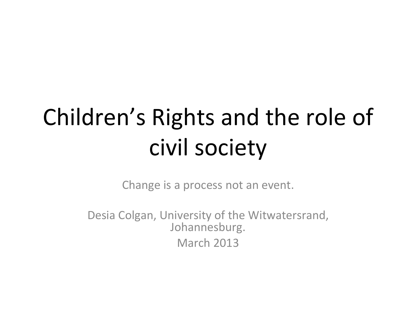# Children's Rights and the role of civil society

Change is a process not an event.

Desia Colgan, University of the Witwatersrand, Johannesburg. March 2013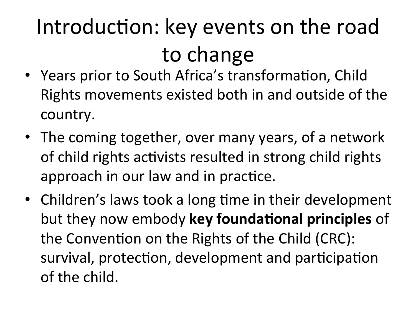## Introduction: key events on the road to change

- Years prior to South Africa's transformation, Child Rights movements existed both in and outside of the country.
- The coming together, over many years, of a network of child rights activists resulted in strong child rights approach in our law and in practice.
- Children's laws took a long time in their development but they now embody key foundational principles of the Convention on the Rights of the Child (CRC): survival, protection, development and participation of the child.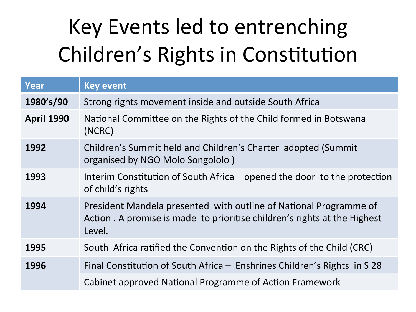### Key Events led to entrenching Children's Rights in Constitution

| Year              | <b>Key event</b>                                                                                                                                         |  |
|-------------------|----------------------------------------------------------------------------------------------------------------------------------------------------------|--|
| 1980's/90         | Strong rights movement inside and outside South Africa                                                                                                   |  |
| <b>April 1990</b> | National Committee on the Rights of the Child formed in Botswana<br>(NCRC)                                                                               |  |
| 1992              | Children's Summit held and Children's Charter adopted (Summit<br>organised by NGO Molo Songololo)                                                        |  |
| 1993              | Interim Constitution of South Africa $-$ opened the door to the protection<br>of child's rights                                                          |  |
| 1994              | President Mandela presented with outline of National Programme of<br>Action . A promise is made to prioritise children's rights at the Highest<br>Level. |  |
| 1995              | South Africa ratified the Convention on the Rights of the Child (CRC)                                                                                    |  |
| 1996              | Final Constitution of South Africa – Enshrines Children's Rights in S 28                                                                                 |  |
|                   | Cabinet approved National Programme of Action Framework                                                                                                  |  |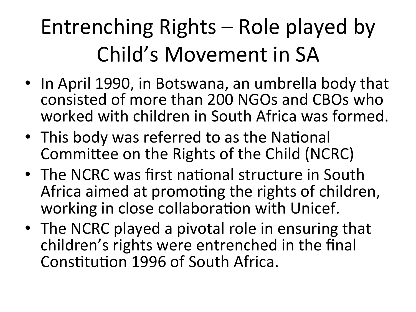### Entrenching Rights – Role played by Child's Movement in SA

- In April 1990, in Botswana, an umbrella body that consisted of more than 200 NGOs and CBOs who worked with children in South Africa was formed.
- This body was referred to as the National Committee on the Rights of the Child (NCRC)
- The NCRC was first national structure in South Africa aimed at promoting the rights of children, working in close collaboration with Unicef.
- The NCRC played a pivotal role in ensuring that children's rights were entrenched in the final Constitution 1996 of South Africa.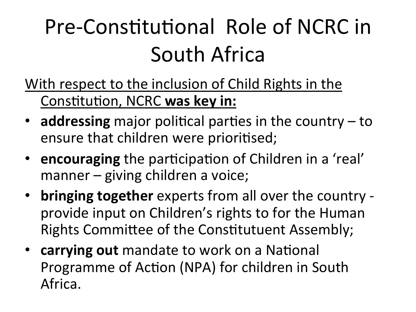### Pre-Constitutional Role of NCRC in South Africa

- With respect to the inclusion of Child Rights in the Constitution, NCRC was key in:
- $\cdot$  **addressing** major political parties in the country to ensure that children were prioritised;
- encouraging the participation of Children in a 'real' manner – giving children a voice;
- **bringing together** experts from all over the country provide input on Children's rights to for the Human Rights Committee of the Constitutuent Assembly;
- **carrying out** mandate to work on a National Programme of Action (NPA) for children in South Africa.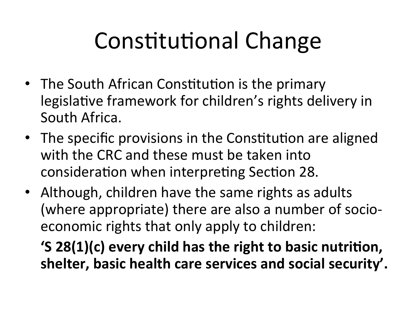# Constitutional Change

- The South African Constitution is the primary legislative framework for children's rights delivery in South Africa.
- The specific provisions in the Constitution are aligned with the CRC and these must be taken into consideration when interpreting Section 28.
- Although, children have the same rights as adults (where appropriate) there are also a number of socioeconomic rights that only apply to children:

**'S 28(1)(c) every child has the right to basic nutrition,** shelter, basic health care services and social security'.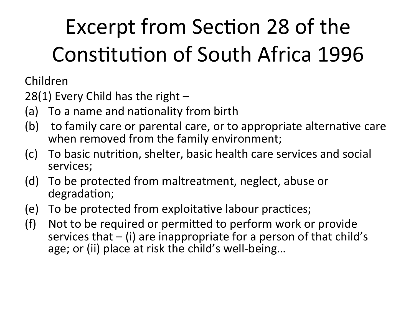## Excerpt from Section 28 of the Constitution of South Africa 1996

Children+

28(1) Every Child has the right  $-$ 

- (a) To a name and nationality from birth
- (b) to family care or parental care, or to appropriate alternative care when removed from the family environment;
- (c) To basic nutrition, shelter, basic health care services and social services;
- (d) To be protected from maltreatment, neglect, abuse or degradation;
- (e) To be protected from exploitative labour practices;
- (f) Not to be required or permitted to perform work or provide services that  $-$  (i) are inappropriate for a person of that child's age; or (ii) place at risk the child's well-being...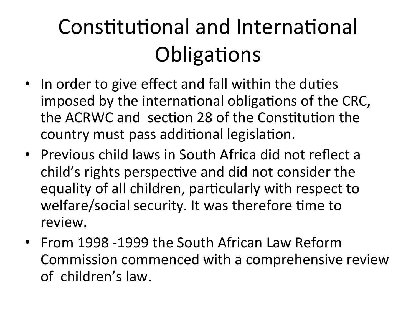### Constitutional and International Obligations

- In order to give effect and fall within the duties imposed by the international obligations of the CRC, the ACRWC and section 28 of the Constitution the country must pass additional legislation.
- Previous child laws in South Africa did not reflect a child's rights perspective and did not consider the equality of all children, particularly with respect to welfare/social security. It was therefore time to review.
- From 1998 -1999 the South African Law Reform Commission commenced with a comprehensive review of children's law.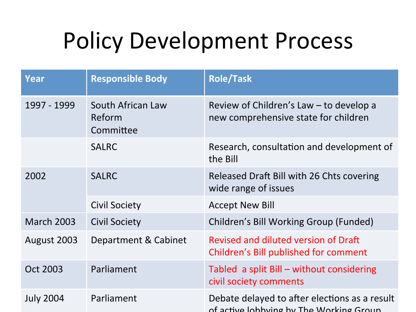#### Policy Development Process

| Year              | <b>Responsible Body</b>                  | <b>Role/Task</b>                                                                         |
|-------------------|------------------------------------------|------------------------------------------------------------------------------------------|
| 1997 - 1999       | South African Law<br>Reform<br>Committee | Review of Children's Law – to develop a<br>new comprehensive state for children          |
|                   | <b>SALRC</b>                             | Research, consultation and development of<br>the Bill                                    |
| 2002              | <b>SALRC</b>                             | Released Draft Bill with 26 Chts covering<br>wide range of issues                        |
|                   | <b>Civil Society</b>                     | <b>Accept New Bill</b>                                                                   |
| <b>March 2003</b> | <b>Civil Society</b>                     | Children's Bill Working Group (Funded)                                                   |
| August 2003       | Department & Cabinet                     | Revised and diluted version of Draft<br>Children's Bill published for comment            |
| <b>Oct 2003</b>   | Parliament                               | Tabled a split Bill – without considering<br>civil society comments                      |
| <b>July 2004</b>  | Parliament                               | Debate delayed to after elections as a result<br>of active lohbying by The Working Group |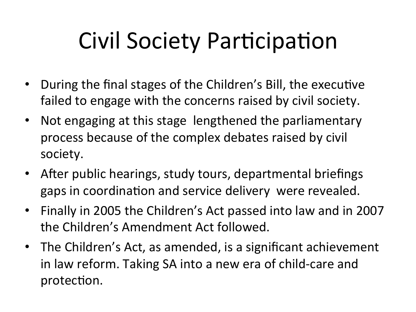# Civil Society Participation

- During the final stages of the Children's Bill, the executive failed to engage with the concerns raised by civil society.
- Not engaging at this stage lengthened the parliamentary process because of the complex debates raised by civil society.
- After public hearings, study tours, departmental briefings gaps in coordination and service delivery were revealed.
- Finally in 2005 the Children's Act passed into law and in 2007 the Children's Amendment Act followed.
- The Children's Act, as amended, is a significant achievement in law reform. Taking SA into a new era of child-care and protection.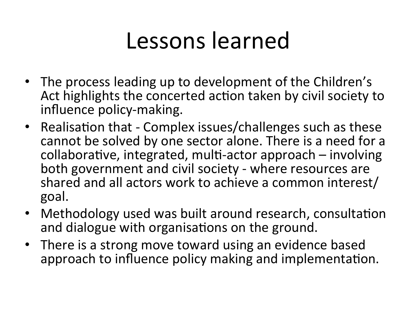#### Lessons learned

- The process leading up to development of the Children's Act highlights the concerted action taken by civil society to influence policy-making.
- Realisation that Complex issues/challenges such as these cannot be solved by one sector alone. There is a need for a  $collaborative, integrated, multi-actor approach – involving$ both government and civil society - where resources are shared and all actors work to achieve a common interest/ goal.++++
- Methodology used was built around research, consultation and dialogue with organisations on the ground.
- There is a strong move toward using an evidence based approach to influence policy making and implementation.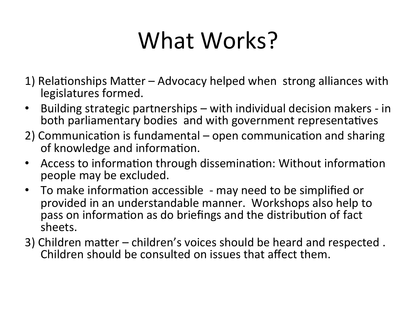# What Works?

- 1) Relationships Matter Advocacy helped when strong alliances with legislatures formed.
- Building strategic partnerships with individual decision makers in both parliamentary bodies and with government representatives
- 2) Communication is fundamental open communication and sharing of knowledge and information.
- Access to information through dissemination: Without information people may be excluded.
- To make information accessible may need to be simplified or provided in an understandable manner. Workshops also help to pass on information as do briefings and the distribution of fact sheets.
- 3) Children matter children's voices should be heard and respected. Children should be consulted on issues that affect them.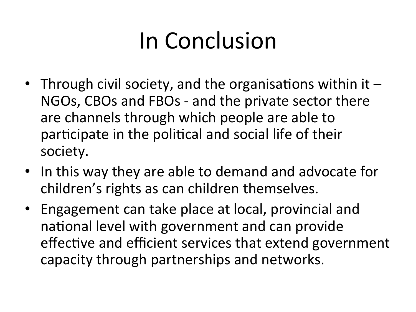# In Conclusion

- Through civil society, and the organisations within it  $-$ NGOs, CBOs and FBOs - and the private sector there are channels through which people are able to participate in the political and social life of their society.
- In this way they are able to demand and advocate for children's rights as can children themselves.
- Engagement can take place at local, provincial and national level with government and can provide effective and efficient services that extend government capacity through partnerships and networks.